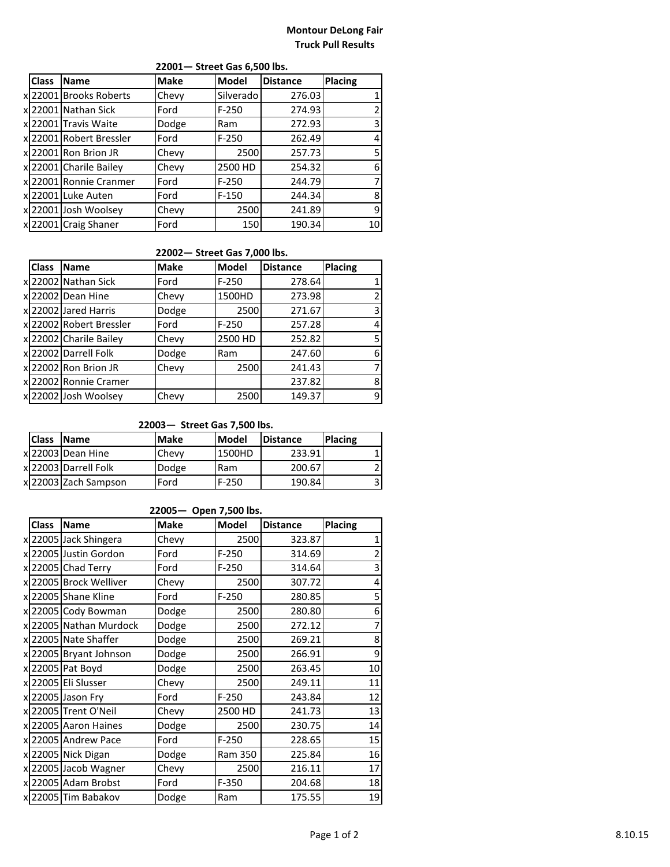### **Montour DeLong Fair Truck Pull Results**

| <b>Class</b> | <b>Name</b>             | <b>Make</b> | <b>Model</b> | <b>Distance</b> | <b>Placing</b> |
|--------------|-------------------------|-------------|--------------|-----------------|----------------|
|              | x 22001 Brooks Roberts  | Chevy       | Silverado    | 276.03          |                |
|              | x 22001 Nathan Sick     | Ford        | $F-250$      | 274.93          |                |
|              | x 22001 Travis Waite    | Dodge       | Ram          | 272.93          | 3              |
|              | x 22001 Robert Bressler | Ford        | $F-250$      | 262.49          | 4              |
|              | x 22001 Ron Brion JR    | Chevy       | 2500         | 257.73          | 5              |
|              | x 22001 Charile Bailey  | Chevy       | 2500 HD      | 254.32          | 6              |
|              | x 22001 Ronnie Cranmer  | Ford        | $F-250$      | 244.79          | 7              |
|              | x 22001 Luke Auten      | Ford        | $F-150$      | 244.34          | 8              |
|              | x 22001 Josh Woolsey    | Chevy       | 2500         | 241.89          | 9              |
|              | x 22001 Craig Shaner    | Ford        | 150          | 190.34          | 10             |

### **22001— Street Gas 6,500 lbs.**

## **22002— Street Gas 7,000 lbs.**

| <b>Class</b> | <b>Name</b>             | <b>Make</b> | Model   | <b>Distance</b> | <b>Placing</b> |
|--------------|-------------------------|-------------|---------|-----------------|----------------|
|              | xl 22002 Nathan Sick    | Ford        | $F-250$ | 278.64          |                |
|              | xl 22002 Dean Hine      | Chevy       | 1500HD  | 273.98          |                |
|              | xl 22002 Jared Harris   | Dodge       | 2500    | 271.67          |                |
|              | x 22002 Robert Bressler | Ford        | $F-250$ | 257.28          |                |
|              | x 22002 Charile Bailey  | Chevy       | 2500 HD | 252.82          |                |
|              | x 22002 Darrell Folk    | Dodge       | Ram     | 247.60          | 6              |
|              | x 22002 Ron Brion JR    | Chevy       | 2500    | 241.43          |                |
|              | x 22002 Ronnie Cramer   |             |         | 237.82          | 8              |
|              | x 22002 Josh Woolsey    | Chevy       | 2500    | 149.37          | 9              |

#### **22003— Street Gas 7,500 lbs.**

| <b>Class</b> | <b>Name</b>           | <b>Make</b> | <b>Model</b> | <b>IDistance</b> | <b>Placing</b> |
|--------------|-----------------------|-------------|--------------|------------------|----------------|
|              | xl 22003 lDean Hine   | Chevy       | 1500HD       | 233.91           |                |
|              | x 22003 Darrell Folk  | Dodge       | Ram          | 200.67           |                |
|              | xl 22003 Zach Sampson | Ford        | $F-250$      | 190.84           |                |

### **22005— Open 7,500 lbs.**

| <b>Class</b> | <b>Name</b>            | <b>Make</b> | Model   | <b>Distance</b> | <b>Placing</b> |
|--------------|------------------------|-------------|---------|-----------------|----------------|
|              | x 22005 Jack Shingera  | Chevy       | 2500    | 323.87          |                |
|              | x 22005 Justin Gordon  | Ford        | $F-250$ | 314.69          | $\overline{2}$ |
|              | x 22005 Chad Terry     | Ford        | $F-250$ | 314.64          | 3              |
|              | x 22005 Brock Welliver | Chevy       | 2500    | 307.72          | 4              |
|              | x 22005 Shane Kline    | Ford        | $F-250$ | 280.85          | 5              |
|              | x 22005 Cody Bowman    | Dodge       | 2500    | 280.80          | 6              |
|              | x 22005 Nathan Murdock | Dodge       | 2500    | 272.12          |                |
|              | x 22005 Nate Shaffer   | Dodge       | 2500    | 269.21          | 8              |
|              | x 22005 Bryant Johnson | Dodge       | 2500    | 266.91          | 9              |
|              | x 22005 Pat Boyd       | Dodge       | 2500    | 263.45          | 10             |
|              | x 22005 Eli Slusser    | Chevy       | 2500    | 249.11          | 11             |
|              | x 22005 Jason Fry      | Ford        | $F-250$ | 243.84          | 12             |
|              | x 22005 Trent O'Neil   | Chevy       | 2500 HD | 241.73          | 13             |
|              | x 22005 Aaron Haines   | Dodge       | 2500    | 230.75          | 14             |
|              | x 22005 Andrew Pace    | Ford        | $F-250$ | 228.65          | 15             |
|              | x 22005 Nick Digan     | Dodge       | Ram 350 | 225.84          | 16             |
|              | x 22005 Jacob Wagner   | Chevy       | 2500    | 216.11          | 17             |
|              | x 22005 Adam Brobst    | Ford        | $F-350$ | 204.68          | 18             |
|              | x 22005 Tim Babakov    | Dodge       | Ram     | 175.55          | 19             |